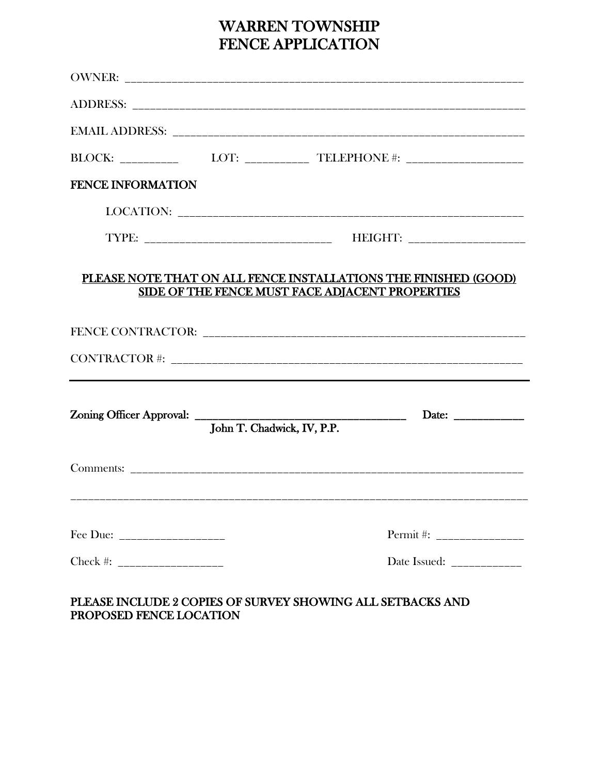## WARREN TOWNSHIP FENCE APPLICATION

|                                                                                                                    |                            | BLOCK: __________ LOT: ___________ TELEPHONE #: ____________________ |  |
|--------------------------------------------------------------------------------------------------------------------|----------------------------|----------------------------------------------------------------------|--|
| <b>FENCE INFORMATION</b>                                                                                           |                            |                                                                      |  |
|                                                                                                                    |                            |                                                                      |  |
|                                                                                                                    |                            |                                                                      |  |
| PLEASE NOTE THAT ON ALL FENCE INSTALLATIONS THE FINISHED (GOOD)<br>SIDE OF THE FENCE MUST FACE ADJACENT PROPERTIES |                            |                                                                      |  |
|                                                                                                                    |                            |                                                                      |  |
|                                                                                                                    |                            |                                                                      |  |
|                                                                                                                    | John T. Chadwick, IV, P.P. |                                                                      |  |
|                                                                                                                    |                            |                                                                      |  |
| Fee Due: _____________________                                                                                     |                            |                                                                      |  |
| $Check #: ____________$                                                                                            |                            | Date Issued: _____________                                           |  |

## PLEASE INCLUDE 2 COPIES OF SURVEY SHOWING ALL SETBACKS AND PROPOSED FENCE LOCATION